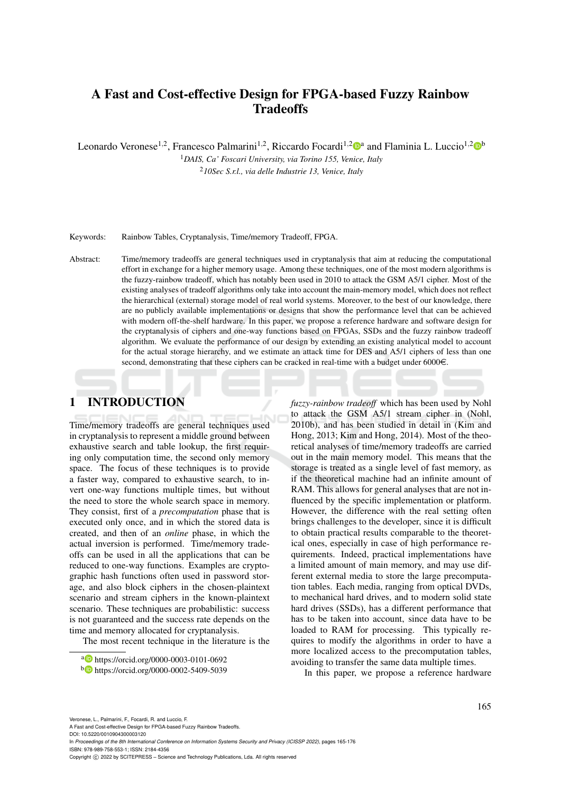# A Fast and Cost-effective Design for FPGA-based Fuzzy Rainbow **Tradeoffs**

Leonardo Veronese<sup>1,2</sup>, Francesco Palmarini<sup>1,2</sup>, Riccardo Focardi<sup>1,2</sup><sup>to</sup> and Flaminia L. Luccio<sup>1,2</sup><sup>to</sup>

<sup>1</sup>*DAIS, Ca' Foscari University, via Torino 155, Venice, Italy* <sup>2</sup>*10Sec S.r.l., via delle Industrie 13, Venice, Italy*

Keywords: Rainbow Tables, Cryptanalysis, Time/memory Tradeoff, FPGA.

Abstract: Time/memory tradeoffs are general techniques used in cryptanalysis that aim at reducing the computational effort in exchange for a higher memory usage. Among these techniques, one of the most modern algorithms is the fuzzy-rainbow tradeoff, which has notably been used in 2010 to attack the GSM A5/1 cipher. Most of the existing analyses of tradeoff algorithms only take into account the main-memory model, which does not reflect the hierarchical (external) storage model of real world systems. Moreover, to the best of our knowledge, there are no publicly available implementations or designs that show the performance level that can be achieved with modern off-the-shelf hardware. In this paper, we propose a reference hardware and software design for the cryptanalysis of ciphers and one-way functions based on FPGAs, SSDs and the fuzzy rainbow tradeoff algorithm. We evaluate the performance of our design by extending an existing analytical model to account for the actual storage hierarchy, and we estimate an attack time for DES and A5/1 ciphers of less than one second, demonstrating that these ciphers can be cracked in real-time with a budget under  $6000 \in$ .

## 1 INTRODUCTION

Time/memory tradeoffs are general techniques used in cryptanalysis to represent a middle ground between exhaustive search and table lookup, the first requiring only computation time, the second only memory space. The focus of these techniques is to provide a faster way, compared to exhaustive search, to invert one-way functions multiple times, but without the need to store the whole search space in memory. They consist, first of a *precomputation* phase that is executed only once, and in which the stored data is created, and then of an *online* phase, in which the actual inversion is performed. Time/memory tradeoffs can be used in all the applications that can be reduced to one-way functions. Examples are cryptographic hash functions often used in password storage, and also block ciphers in the chosen-plaintext scenario and stream ciphers in the known-plaintext scenario. These techniques are probabilistic: success is not guaranteed and the success rate depends on the time and memory allocated for cryptanalysis.

The most recent technique in the literature is the

*fuzzy-rainbow tradeoff* which has been used by Nohl to attack the GSM A5/1 stream cipher in (Nohl, 2010b), and has been studied in detail in (Kim and Hong, 2013; Kim and Hong, 2014). Most of the theoretical analyses of time/memory tradeoffs are carried out in the main memory model. This means that the storage is treated as a single level of fast memory, as if the theoretical machine had an infinite amount of RAM. This allows for general analyses that are not influenced by the specific implementation or platform. However, the difference with the real setting often brings challenges to the developer, since it is difficult to obtain practical results comparable to the theoretical ones, especially in case of high performance requirements. Indeed, practical implementations have a limited amount of main memory, and may use different external media to store the large precomputation tables. Each media, ranging from optical DVDs, to mechanical hard drives, and to modern solid state hard drives (SSDs), has a different performance that has to be taken into account, since data have to be loaded to RAM for processing. This typically requires to modify the algorithms in order to have a more localized access to the precomputation tables, avoiding to transfer the same data multiple times.

In this paper, we propose a reference hardware

Veronese, L., Palmarini, F., Focardi, R. and Luccio, F.

A Fast and Cost-effective Design for FPGA-based Fuzzy Rainbow Tradeoffs. DOI: 10.5220/0010904300003120

In *Proceedings of the 8th International Conference on Information Systems Security and Privacy (ICISSP 2022)*, pages 165-176 ISBN: 978-989-758-553-1; ISSN: 2184-4356

Copyright (C) 2022 by SCITEPRESS - Science and Technology Publications, Lda. All rights reserved

<sup>a</sup> https://orcid.org/0000-0003-0101-0692

<sup>b</sup> https://orcid.org/0000-0002-5409-5039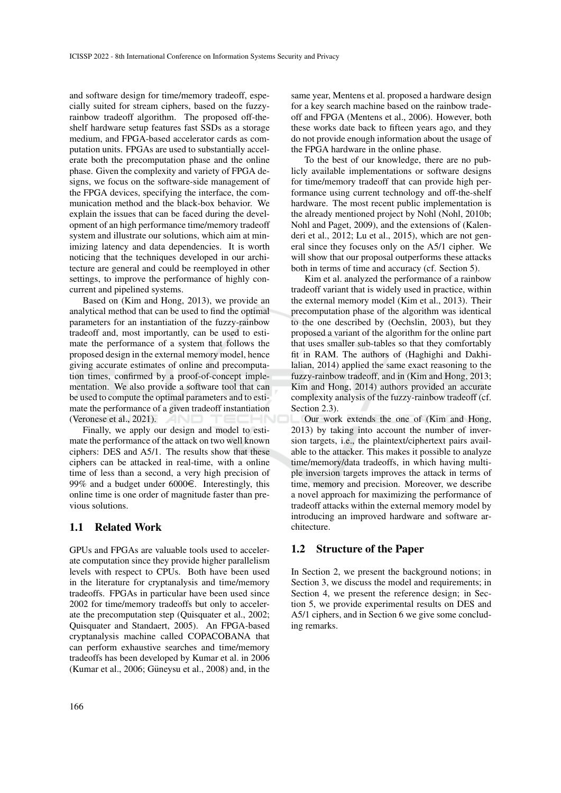and software design for time/memory tradeoff, especially suited for stream ciphers, based on the fuzzyrainbow tradeoff algorithm. The proposed off-theshelf hardware setup features fast SSDs as a storage medium, and FPGA-based accelerator cards as computation units. FPGAs are used to substantially accelerate both the precomputation phase and the online phase. Given the complexity and variety of FPGA designs, we focus on the software-side management of the FPGA devices, specifying the interface, the communication method and the black-box behavior. We explain the issues that can be faced during the development of an high performance time/memory tradeoff system and illustrate our solutions, which aim at minimizing latency and data dependencies. It is worth noticing that the techniques developed in our architecture are general and could be reemployed in other settings, to improve the performance of highly concurrent and pipelined systems.

Based on (Kim and Hong, 2013), we provide an analytical method that can be used to find the optimal parameters for an instantiation of the fuzzy-rainbow tradeoff and, most importantly, can be used to estimate the performance of a system that follows the proposed design in the external memory model, hence giving accurate estimates of online and precomputation times, confirmed by a proof-of-concept implementation. We also provide a software tool that can be used to compute the optimal parameters and to estimate the performance of a given tradeoff instantiation (Veronese et al., 2021). **AND** 

Finally, we apply our design and model to estimate the performance of the attack on two well known ciphers: DES and A5/1. The results show that these ciphers can be attacked in real-time, with a online time of less than a second, a very high precision of 99% and a budget under  $6000\epsilon$ . Interestingly, this online time is one order of magnitude faster than previous solutions.

### 1.1 Related Work

GPUs and FPGAs are valuable tools used to accelerate computation since they provide higher parallelism levels with respect to CPUs. Both have been used in the literature for cryptanalysis and time/memory tradeoffs. FPGAs in particular have been used since 2002 for time/memory tradeoffs but only to accelerate the precomputation step (Quisquater et al., 2002; Quisquater and Standaert, 2005). An FPGA-based cryptanalysis machine called COPACOBANA that can perform exhaustive searches and time/memory tradeoffs has been developed by Kumar et al. in 2006 (Kumar et al.,  $2006$ ; Güneysu et al.,  $2008$ ) and, in the

same year, Mentens et al. proposed a hardware design for a key search machine based on the rainbow tradeoff and FPGA (Mentens et al., 2006). However, both these works date back to fifteen years ago, and they do not provide enough information about the usage of the FPGA hardware in the online phase.

To the best of our knowledge, there are no publicly available implementations or software designs for time/memory tradeoff that can provide high performance using current technology and off-the-shelf hardware. The most recent public implementation is the already mentioned project by Nohl (Nohl, 2010b; Nohl and Paget, 2009), and the extensions of (Kalenderi et al., 2012; Lu et al., 2015), which are not general since they focuses only on the A5/1 cipher. We will show that our proposal outperforms these attacks both in terms of time and accuracy (cf. Section 5).

Kim et al. analyzed the performance of a rainbow tradeoff variant that is widely used in practice, within the external memory model (Kim et al., 2013). Their precomputation phase of the algorithm was identical to the one described by (Oechslin, 2003), but they proposed a variant of the algorithm for the online part that uses smaller sub-tables so that they comfortably fit in RAM. The authors of (Haghighi and Dakhilalian, 2014) applied the same exact reasoning to the fuzzy-rainbow tradeoff, and in (Kim and Hong, 2013; Kim and Hong, 2014) authors provided an accurate complexity analysis of the fuzzy-rainbow tradeoff (cf. Section 2.3).

Our work extends the one of (Kim and Hong, 2013) by taking into account the number of inversion targets, i.e., the plaintext/ciphertext pairs available to the attacker. This makes it possible to analyze time/memory/data tradeoffs, in which having multiple inversion targets improves the attack in terms of time, memory and precision. Moreover, we describe a novel approach for maximizing the performance of tradeoff attacks within the external memory model by introducing an improved hardware and software architecture.

#### 1.2 Structure of the Paper

In Section 2, we present the background notions; in Section 3, we discuss the model and requirements; in Section 4, we present the reference design; in Section 5, we provide experimental results on DES and A5/1 ciphers, and in Section 6 we give some concluding remarks.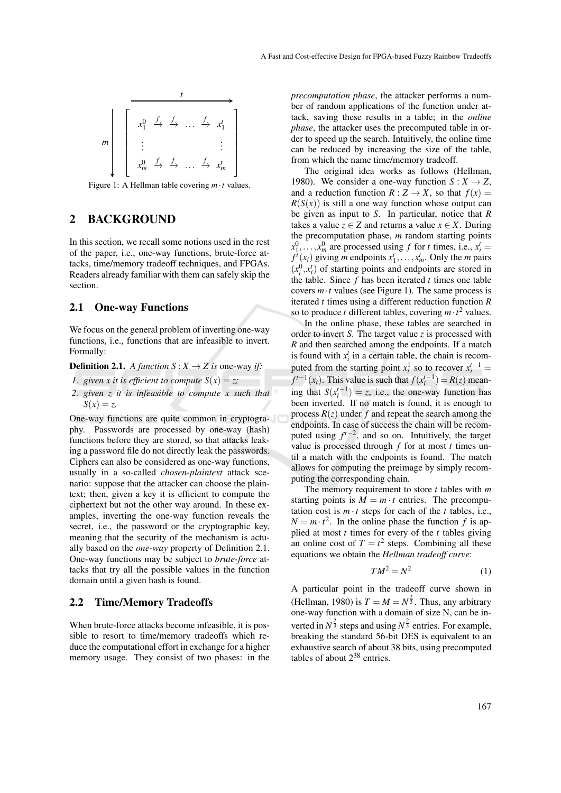

Figure 1: A Hellman table covering *m*·*t* values.

### 2 BACKGROUND

In this section, we recall some notions used in the rest of the paper, i.e., one-way functions, brute-force attacks, time/memory tradeoff techniques, and FPGAs. Readers already familiar with them can safely skip the section.

#### 2.1 One-way Functions

We focus on the general problem of inverting one-way functions, i.e., functions that are infeasible to invert. Formally:

**Definition 2.1.** *A function*  $S: X \to Z$  *is* one-way *if:* 

- *1. given x it is efficient to compute*  $S(x) = z$ ;
- *2. given z it is infeasible to compute x such that*  $S(x) = z$ .

One-way functions are quite common in cryptography. Passwords are processed by one-way (hash) functions before they are stored, so that attacks leaking a password file do not directly leak the passwords. Ciphers can also be considered as one-way functions, usually in a so-called *chosen-plaintext* attack scenario: suppose that the attacker can choose the plaintext; then, given a key it is efficient to compute the ciphertext but not the other way around. In these examples, inverting the one-way function reveals the secret, i.e., the password or the cryptographic key, meaning that the security of the mechanism is actually based on the *one-way* property of Definition 2.1. One-way functions may be subject to *brute-force* attacks that try all the possible values in the function domain until a given hash is found.

#### 2.2 Time/Memory Tradeoffs

When brute-force attacks become infeasible, it is possible to resort to time/memory tradeoffs which reduce the computational effort in exchange for a higher memory usage. They consist of two phases: in the *precomputation phase*, the attacker performs a number of random applications of the function under attack, saving these results in a table; in the *online phase*, the attacker uses the precomputed table in order to speed up the search. Intuitively, the online time can be reduced by increasing the size of the table, from which the name time/memory tradeoff.

The original idea works as follows (Hellman, 1980). We consider a one-way function  $S: X \to Z$ , and a reduction function  $R: Z \to X$ , so that  $f(x) =$  $R(S(x))$  is still a one way function whose output can be given as input to *S*. In particular, notice that *R* takes a value  $z \in Z$  and returns a value  $x \in X$ . During the precomputation phase, *m* random starting points  $x_1^0, \ldots, x_m^0$  are processed using *f* for *t* times, i.e.,  $x_i^t =$  $f^i(x_i)$  giving *m* endpoints  $x_1^t, \ldots, x_m^t$ . Only the *m* pairs  $(x_i^0, x_i^t)$  of starting points and endpoints are stored in the table. Since *f* has been iterated *t* times one table covers  $m \cdot t$  values (see Figure 1). The same process is iterated *t* times using a different reduction function *R* so to produce *t* different tables, covering  $m \cdot t^2$  values.

In the online phase, these tables are searched in order to invert *S*. The target value *z* is processed with *R* and then searched among the endpoints. If a match is found with  $x_i^t$  in a certain table, the chain is recomputed from the starting point  $x_i^1$  so to recover  $x_i^{t-1}$  =  $f^{t-1}(x_i)$ . This value is such that  $f(x_i^{t-1}) = R(z)$  meaning that  $S(x_i^{t-1}) = z$ , i.e., the one-way function has been inverted. If no match is found, it is enough to process  $R(z)$  under  $f$  and repeat the search among the endpoints. In case of success the chain will be recomputed using  $f^{t-2}$ , and so on. Intuitively, the target value is processed through *f* for at most *t* times until a match with the endpoints is found. The match allows for computing the preimage by simply recomputing the corresponding chain.

The memory requirement to store *t* tables with *m* starting points is  $M = m \cdot t$  entries. The precomputation cost is  $m \cdot t$  steps for each of the  $t$  tables, i.e.,  $N = m \cdot t^2$ . In the online phase the function *f* is applied at most *t* times for every of the *t* tables giving an online cost of  $T = t^2$  steps. Combining all these equations we obtain the *Hellman tradeoff curve*:

$$
TM^2 = N^2 \tag{1}
$$

A particular point in the tradeoff curve shown in (Hellman, 1980) is  $T = M = N^{\frac{2}{3}}$ . Thus, any arbitrary one-way function with a domain of size N, can be inverted in  $N^{\frac{2}{3}}$  steps and using  $N^{\frac{2}{3}}$  entries. For example, breaking the standard 56-bit DES is equivalent to an exhaustive search of about 38 bits, using precomputed tables of about  $2^{38}$  entries.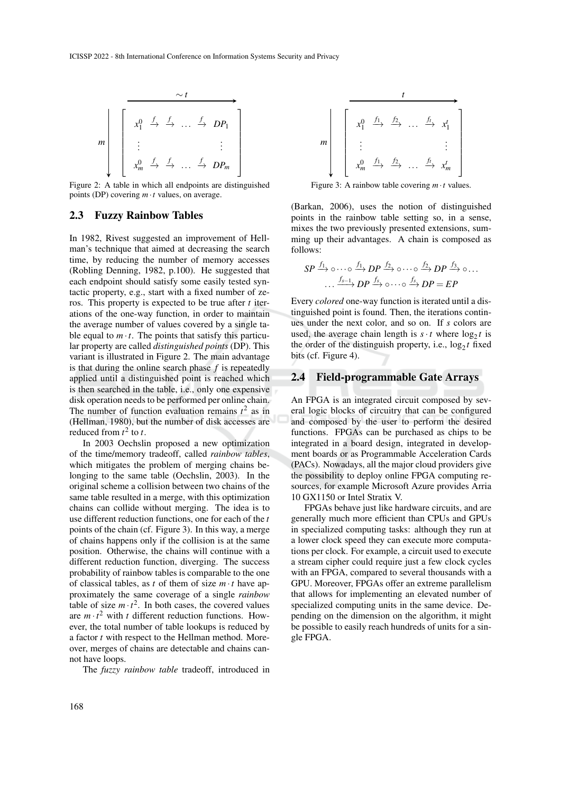

Figure 2: A table in which all endpoints are distinguished points (DP) covering *m*·*t* values, on average.

#### 2.3 Fuzzy Rainbow Tables

In 1982, Rivest suggested an improvement of Hellman's technique that aimed at decreasing the search time, by reducing the number of memory accesses (Robling Denning, 1982, p.100). He suggested that each endpoint should satisfy some easily tested syntactic property, e.g., start with a fixed number of zeros. This property is expected to be true after *t* iterations of the one-way function, in order to maintain the average number of values covered by a single table equal to  $m \cdot t$ . The points that satisfy this particular property are called *distinguished points* (DP). This variant is illustrated in Figure 2. The main advantage is that during the online search phase *f* is repeatedly applied until a distinguished point is reached which is then searched in the table, i.e., only one expensive disk operation needs to be performed per online chain. The number of function evaluation remains  $t^2$  as in (Hellman, 1980), but the number of disk accesses are reduced from  $t^2$  to  $t$ .

In 2003 Oechslin proposed a new optimization of the time/memory tradeoff, called *rainbow tables*, which mitigates the problem of merging chains belonging to the same table (Oechslin, 2003). In the original scheme a collision between two chains of the same table resulted in a merge, with this optimization chains can collide without merging. The idea is to use different reduction functions, one for each of the *t* points of the chain (cf. Figure 3). In this way, a merge of chains happens only if the collision is at the same position. Otherwise, the chains will continue with a different reduction function, diverging. The success probability of rainbow tables is comparable to the one of classical tables, as *t* of them of size  $m \cdot t$  have approximately the same coverage of a single *rainbow* table of size  $m \cdot t^2$ . In both cases, the covered values are  $m \cdot t^2$  with *t* different reduction functions. However, the total number of table lookups is reduced by a factor *t* with respect to the Hellman method. Moreover, merges of chains are detectable and chains cannot have loops.

The *fuzzy rainbow table* tradeoff, introduced in



Figure 3: A rainbow table covering  $m \cdot t$  values.

(Barkan, 2006), uses the notion of distinguished points in the rainbow table setting so, in a sense, mixes the two previously presented extensions, summing up their advantages. A chain is composed as follows:

$$
SP \xrightarrow{f_1} \circ \cdots \circ \xrightarrow{f_1} DP \xrightarrow{f_2} \circ \cdots \circ \xrightarrow{f_2} DP \xrightarrow{f_3} \circ \dots
$$

$$
\cdots \xrightarrow{f_{s-1}} DP \xrightarrow{f_s} \circ \cdots \circ \xrightarrow{f_s} DP = EP
$$

Every *colored* one-way function is iterated until a distinguished point is found. Then, the iterations continues under the next color, and so on. If *s* colors are used, the average chain length is  $s \cdot t$  where  $\log_2 t$  is the order of the distinguish property, i.e.,  $\log_2 t$  fixed bits (cf. Figure 4).

#### 2.4 Field-programmable Gate Arrays

An FPGA is an integrated circuit composed by several logic blocks of circuitry that can be configured and composed by the user to perform the desired functions. FPGAs can be purchased as chips to be integrated in a board design, integrated in development boards or as Programmable Acceleration Cards (PACs). Nowadays, all the major cloud providers give the possibility to deploy online FPGA computing resources, for example Microsoft Azure provides Arria 10 GX1150 or Intel Stratix V.

FPGAs behave just like hardware circuits, and are generally much more efficient than CPUs and GPUs in specialized computing tasks: although they run at a lower clock speed they can execute more computations per clock. For example, a circuit used to execute a stream cipher could require just a few clock cycles with an FPGA, compared to several thousands with a GPU. Moreover, FPGAs offer an extreme parallelism that allows for implementing an elevated number of specialized computing units in the same device. Depending on the dimension on the algorithm, it might be possible to easily reach hundreds of units for a single FPGA.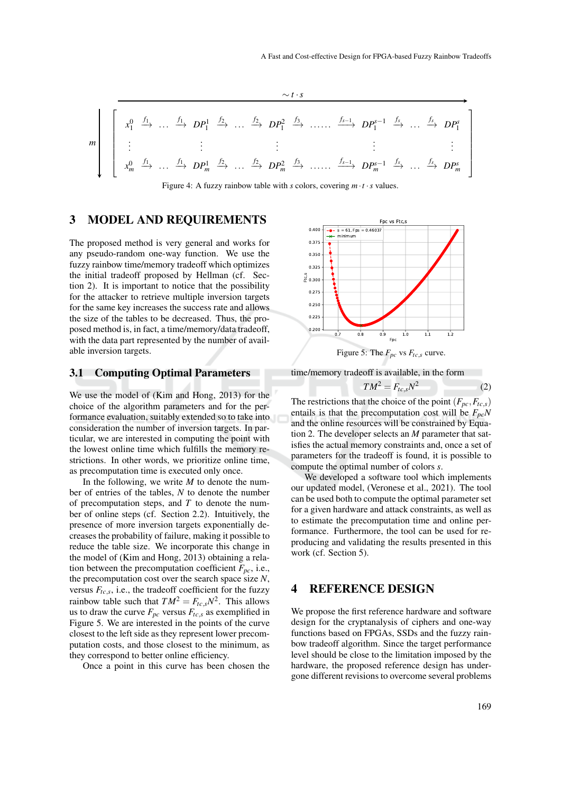$$
m\begin{bmatrix}\nx_1^0 & \xrightarrow{f_1} & \dots & \xrightarrow{f_1} & DP_1^1 & \xrightarrow{f_2} & \dots & \xrightarrow{f_2} & DP_1^2 & \xrightarrow{f_3} & \dots & \xrightarrow{f_{s-1}} & DP_1^{s-1} & \xrightarrow{f_s} & \dots & \xrightarrow{f_s} & DP_1^s \\
\vdots & \vdots & \vdots & \vdots & \vdots & \vdots & \vdots \\
x_m^0 & \xrightarrow{f_1} & \dots & \xrightarrow{f_1} & DP_m^1 & \xrightarrow{f_2} & \dots & \xrightarrow{f_2} & DP_m^2 & \xrightarrow{f_3} & \dots & \xrightarrow{f_{s-1}} & DP_m^{s-1} & \xrightarrow{f_s} & \dots & \xrightarrow{f_s} & DP_m^s\n\end{bmatrix}
$$

Figure 4: A fuzzy rainbow table with *s* colors, covering  $m \cdot t \cdot s$  values.

### 3 MODEL AND REQUIREMENTS

The proposed method is very general and works for any pseudo-random one-way function. We use the fuzzy rainbow time/memory tradeoff which optimizes the initial tradeoff proposed by Hellman (cf. Section 2). It is important to notice that the possibility for the attacker to retrieve multiple inversion targets for the same key increases the success rate and allows the size of the tables to be decreased. Thus, the proposed method is, in fact, a time/memory/data tradeoff, with the data part represented by the number of available inversion targets.

#### 3.1 Computing Optimal Parameters

We use the model of (Kim and Hong, 2013) for the choice of the algorithm parameters and for the performance evaluation, suitably extended so to take into consideration the number of inversion targets. In particular, we are interested in computing the point with the lowest online time which fulfills the memory restrictions. In other words, we prioritize online time, as precomputation time is executed only once.

In the following, we write  $M$  to denote the number of entries of the tables, *N* to denote the number of precomputation steps, and *T* to denote the number of online steps (cf. Section 2.2). Intuitively, the presence of more inversion targets exponentially decreases the probability of failure, making it possible to reduce the table size. We incorporate this change in the model of (Kim and Hong, 2013) obtaining a relation between the precomputation coefficient  $F_{pc}$ , i.e., the precomputation cost over the search space size *N*, versus  $F_{tc,s}$ , i.e., the tradeoff coefficient for the fuzzy rainbow table such that  $TM^2 = F_{tc,s}N^2$ . This allows us to draw the curve  $F_{pc}$  versus  $F_{tc,s}$  as exemplified in Figure 5. We are interested in the points of the curve closest to the left side as they represent lower precomputation costs, and those closest to the minimum, as they correspond to better online efficiency.

Once a point in this curve has been chosen the



Figure 5: The  $F_{pc}$  vs  $F_{tc,s}$  curve.

time/memory tradeoff is available, in the form

$$
TM^2 = F_{tc,s}N^2 \tag{2}
$$

The restrictions that the choice of the point  $(F_{pc}, F_{tc,s})$ entails is that the precomputation cost will be *FpcN* and the online resources will be constrained by Equation 2. The developer selects an *M* parameter that satisfies the actual memory constraints and, once a set of parameters for the tradeoff is found, it is possible to compute the optimal number of colors *s*.

We developed a software tool which implements our updated model, (Veronese et al., 2021). The tool can be used both to compute the optimal parameter set for a given hardware and attack constraints, as well as to estimate the precomputation time and online performance. Furthermore, the tool can be used for reproducing and validating the results presented in this work (cf. Section 5).

### 4 REFERENCE DESIGN

We propose the first reference hardware and software design for the cryptanalysis of ciphers and one-way functions based on FPGAs, SSDs and the fuzzy rainbow tradeoff algorithm. Since the target performance level should be close to the limitation imposed by the hardware, the proposed reference design has undergone different revisions to overcome several problems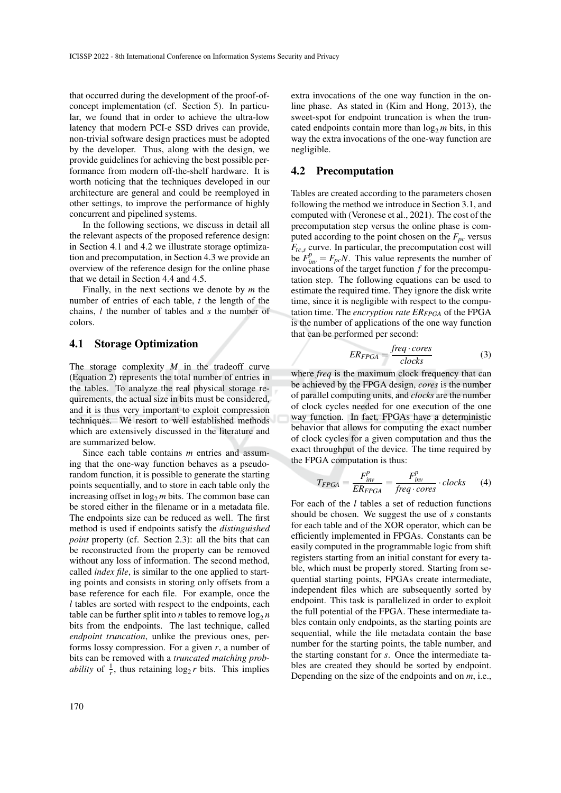that occurred during the development of the proof-ofconcept implementation (cf. Section 5). In particular, we found that in order to achieve the ultra-low latency that modern PCI-e SSD drives can provide, non-trivial software design practices must be adopted by the developer. Thus, along with the design, we provide guidelines for achieving the best possible performance from modern off-the-shelf hardware. It is worth noticing that the techniques developed in our architecture are general and could be reemployed in other settings, to improve the performance of highly concurrent and pipelined systems.

In the following sections, we discuss in detail all the relevant aspects of the proposed reference design: in Section 4.1 and 4.2 we illustrate storage optimization and precomputation, in Section 4.3 we provide an overview of the reference design for the online phase that we detail in Section 4.4 and 4.5.

Finally, in the next sections we denote by *m* the number of entries of each table, *t* the length of the chains, *l* the number of tables and *s* the number of colors.

#### 4.1 Storage Optimization

The storage complexity *M* in the tradeoff curve (Equation 2) represents the total number of entries in the tables. To analyze the real physical storage requirements, the actual size in bits must be considered, and it is thus very important to exploit compression techniques. We resort to well established methods which are extensively discussed in the literature and are summarized below.

Since each table contains *m* entries and assuming that the one-way function behaves as a pseudorandom function, it is possible to generate the starting points sequentially, and to store in each table only the increasing offset in  $log<sub>2</sub> m$  bits. The common base can be stored either in the filename or in a metadata file. The endpoints size can be reduced as well. The first method is used if endpoints satisfy the *distinguished point* property (cf. Section 2.3): all the bits that can be reconstructed from the property can be removed without any loss of information. The second method, called *index file*, is similar to the one applied to starting points and consists in storing only offsets from a base reference for each file. For example, once the *l* tables are sorted with respect to the endpoints, each table can be further split into *n* tables to remove  $\log_2 n$ bits from the endpoints. The last technique, called *endpoint truncation*, unlike the previous ones, performs lossy compression. For a given *r*, a number of bits can be removed with a *truncated matching probability* of  $\frac{1}{r}$ , thus retaining  $\log_2 r$  bits. This implies

extra invocations of the one way function in the online phase. As stated in (Kim and Hong, 2013), the sweet-spot for endpoint truncation is when the truncated endpoints contain more than  $\log_2 m$  bits, in this way the extra invocations of the one-way function are negligible.

#### 4.2 Precomputation

Tables are created according to the parameters chosen following the method we introduce in Section 3.1, and computed with (Veronese et al., 2021). The cost of the precomputation step versus the online phase is computed according to the point chosen on the  $F_{pc}$  versus  $F_{tc,s}$  curve. In particular, the precomputation cost will be  $F_{inv}^p = F_{pc}N$ . This value represents the number of invocations of the target function *f* for the precomputation step. The following equations can be used to estimate the required time. They ignore the disk write time, since it is negligible with respect to the computation time. The *encryption rate ERFPGA* of the FPGA is the number of applications of the one way function that can be performed per second:

$$
ER_{FPGA} = \frac{freq \cdot cores}{clocks}
$$
 (3)

where *freq* is the maximum clock frequency that can be achieved by the FPGA design, *cores* is the number of parallel computing units, and *clocks* are the number of clock cycles needed for one execution of the one way function. In fact, FPGAs have a deterministic behavior that allows for computing the exact number of clock cycles for a given computation and thus the exact throughput of the device. The time required by the FPGA computation is thus:

$$
T_{FPGA} = \frac{F_{inv}^p}{ER_{FPGA}} = \frac{F_{inv}^p}{freq \cdot cores} \cdot clocks \tag{4}
$$

For each of the *l* tables a set of reduction functions should be chosen. We suggest the use of *s* constants for each table and of the XOR operator, which can be efficiently implemented in FPGAs. Constants can be easily computed in the programmable logic from shift registers starting from an initial constant for every table, which must be properly stored. Starting from sequential starting points, FPGAs create intermediate, independent files which are subsequently sorted by endpoint. This task is parallelized in order to exploit the full potential of the FPGA. These intermediate tables contain only endpoints, as the starting points are sequential, while the file metadata contain the base number for the starting points, the table number, and the starting constant for *s*. Once the intermediate tables are created they should be sorted by endpoint. Depending on the size of the endpoints and on *m*, i.e.,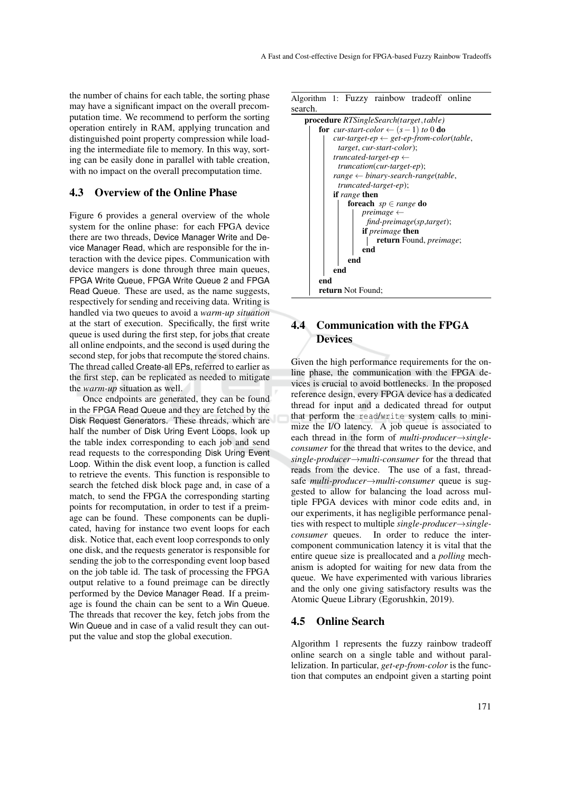the number of chains for each table, the sorting phase may have a significant impact on the overall precomputation time. We recommend to perform the sorting operation entirely in RAM, applying truncation and distinguished point property compression while loading the intermediate file to memory. In this way, sorting can be easily done in parallel with table creation, with no impact on the overall precomputation time.

#### 4.3 Overview of the Online Phase

Figure 6 provides a general overview of the whole system for the online phase: for each FPGA device there are two threads, Device Manager Write and Device Manager Read, which are responsible for the interaction with the device pipes. Communication with device mangers is done through three main queues, FPGA Write Queue, FPGA Write Queue 2 and FPGA Read Queue. These are used, as the name suggests, respectively for sending and receiving data. Writing is handled via two queues to avoid a *warm-up situation* at the start of execution. Specifically, the first write queue is used during the first step, for jobs that create all online endpoints, and the second is used during the second step, for jobs that recompute the stored chains. The thread called Create-all EPs, referred to earlier as the first step, can be replicated as needed to mitigate the *warm-up* situation as well.

Once endpoints are generated, they can be found in the FPGA Read Queue and they are fetched by the Disk Request Generators. These threads, which are half the number of Disk Uring Event Loops, look up the table index corresponding to each job and send read requests to the corresponding Disk Uring Event Loop. Within the disk event loop, a function is called to retrieve the events. This function is responsible to search the fetched disk block page and, in case of a match, to send the FPGA the corresponding starting points for recomputation, in order to test if a preimage can be found. These components can be duplicated, having for instance two event loops for each disk. Notice that, each event loop corresponds to only one disk, and the requests generator is responsible for sending the job to the corresponding event loop based on the job table id. The task of processing the FPGA output relative to a found preimage can be directly performed by the Device Manager Read. If a preimage is found the chain can be sent to a Win Queue. The threads that recover the key, fetch jobs from the Win Queue and in case of a valid result they can output the value and stop the global execution.



## 4.4 Communication with the FPGA **Devices**

Given the high performance requirements for the online phase, the communication with the FPGA devices is crucial to avoid bottlenecks. In the proposed reference design, every FPGA device has a dedicated thread for input and a dedicated thread for output that perform the read/write system calls to minimize the I/O latency. A job queue is associated to each thread in the form of *multi-producer*→*singleconsumer* for the thread that writes to the device, and *single-producer*→*multi-consumer* for the thread that reads from the device. The use of a fast, threadsafe *multi-producer*→*multi-consumer* queue is suggested to allow for balancing the load across multiple FPGA devices with minor code edits and, in our experiments, it has negligible performance penalties with respect to multiple *single-producer*→*singleconsumer* queues. In order to reduce the intercomponent communication latency it is vital that the entire queue size is preallocated and a *polling* mechanism is adopted for waiting for new data from the queue. We have experimented with various libraries and the only one giving satisfactory results was the Atomic Queue Library (Egorushkin, 2019).

#### 4.5 Online Search

Algorithm 1 represents the fuzzy rainbow tradeoff online search on a single table and without parallelization. In particular, *get-ep-from-color* is the function that computes an endpoint given a starting point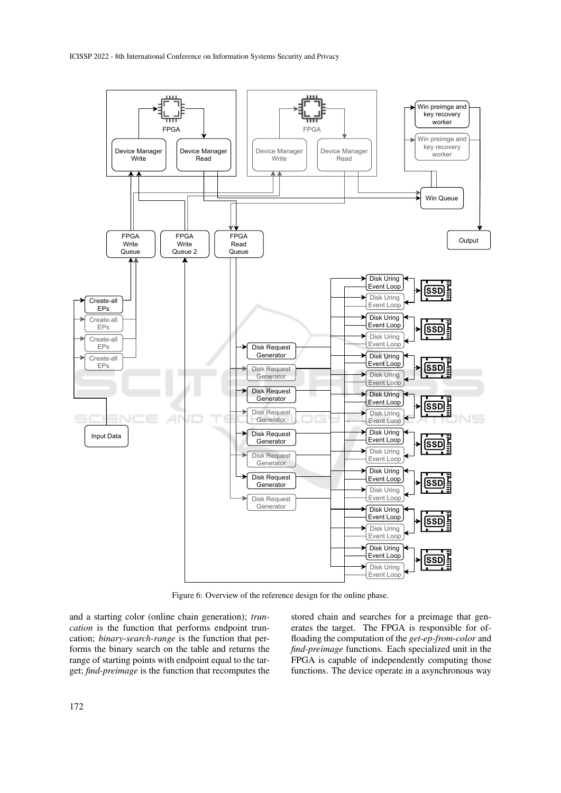

Figure 6: Overview of the reference design for the online phase.

and a starting color (online chain generation); *truncation* is the function that performs endpoint truncation; *binary-search-range* is the function that performs the binary search on the table and returns the range of starting points with endpoint equal to the target; *find-preimage* is the function that recomputes the

stored chain and searches for a preimage that generates the target. The FPGA is responsible for offloading the computation of the *get-ep-from-color* and *find-preimage* functions. Each specialized unit in the FPGA is capable of independently computing those functions. The device operate in a asynchronous way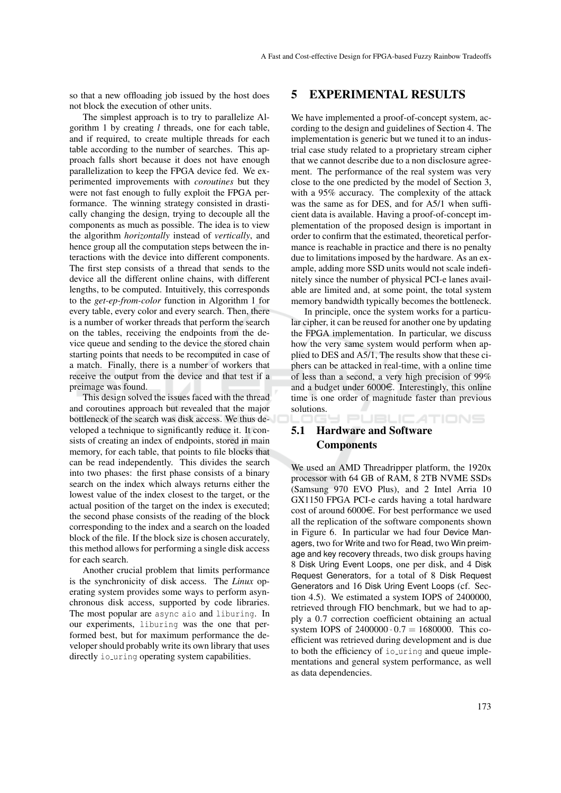so that a new offloading job issued by the host does not block the execution of other units.

The simplest approach is to try to parallelize Algorithm 1 by creating *l* threads, one for each table, and if required, to create multiple threads for each table according to the number of searches. This approach falls short because it does not have enough parallelization to keep the FPGA device fed. We experimented improvements with *coroutines* but they were not fast enough to fully exploit the FPGA performance. The winning strategy consisted in drastically changing the design, trying to decouple all the components as much as possible. The idea is to view the algorithm *horizontally* instead of *vertically*, and hence group all the computation steps between the interactions with the device into different components. The first step consists of a thread that sends to the device all the different online chains, with different lengths, to be computed. Intuitively, this corresponds to the *get-ep-from-color* function in Algorithm 1 for every table, every color and every search. Then, there is a number of worker threads that perform the search on the tables, receiving the endpoints from the device queue and sending to the device the stored chain starting points that needs to be recomputed in case of a match. Finally, there is a number of workers that receive the output from the device and that test if a preimage was found.

This design solved the issues faced with the thread and coroutines approach but revealed that the major bottleneck of the search was disk access. We thus developed a technique to significantly reduce it. It consists of creating an index of endpoints, stored in main memory, for each table, that points to file blocks that can be read independently. This divides the search into two phases: the first phase consists of a binary search on the index which always returns either the lowest value of the index closest to the target, or the actual position of the target on the index is executed; the second phase consists of the reading of the block corresponding to the index and a search on the loaded block of the file. If the block size is chosen accurately, this method allows for performing a single disk access for each search.

Another crucial problem that limits performance is the synchronicity of disk access. The *Linux* operating system provides some ways to perform asynchronous disk access, supported by code libraries. The most popular are async aio and liburing. In our experiments, liburing was the one that performed best, but for maximum performance the developer should probably write its own library that uses directly io uring operating system capabilities.

### 5 EXPERIMENTAL RESULTS

We have implemented a proof-of-concept system, according to the design and guidelines of Section 4. The implementation is generic but we tuned it to an industrial case study related to a proprietary stream cipher that we cannot describe due to a non disclosure agreement. The performance of the real system was very close to the one predicted by the model of Section 3, with a 95% accuracy. The complexity of the attack was the same as for DES, and for A5/1 when sufficient data is available. Having a proof-of-concept implementation of the proposed design is important in order to confirm that the estimated, theoretical performance is reachable in practice and there is no penalty due to limitations imposed by the hardware. As an example, adding more SSD units would not scale indefinitely since the number of physical PCI-e lanes available are limited and, at some point, the total system memory bandwidth typically becomes the bottleneck.

In principle, once the system works for a particular cipher, it can be reused for another one by updating the FPGA implementation. In particular, we discuss how the very same system would perform when applied to DES and A5/1, The results show that these ciphers can be attacked in real-time, with a online time of less than a second, a very high precision of 99% and a budget under  $6000\epsilon$ . Interestingly, this online time is one order of magnitude faster than previous solutions.

**PUBLICATIONS** 

## 5.1 Hardware and Software **Components**

We used an AMD Threadripper platform, the 1920x processor with 64 GB of RAM, 8 2TB NVME SSDs (Samsung 970 EVO Plus), and 2 Intel Arria 10 GX1150 FPGA PCI-e cards having a total hardware cost of around  $6000\epsilon$ . For best performance we used all the replication of the software components shown in Figure 6. In particular we had four Device Managers, two for Write and two for Read, two Win preimage and key recovery threads, two disk groups having 8 Disk Uring Event Loops, one per disk, and 4 Disk Request Generators, for a total of 8 Disk Request Generators and 16 Disk Uring Event Loops (cf. Section 4.5). We estimated a system IOPS of 2400000, retrieved through FIO benchmark, but we had to apply a 0.7 correction coefficient obtaining an actual system IOPS of  $2400000 \cdot 0.7 = 1680000$ . This coefficient was retrieved during development and is due to both the efficiency of io\_uring and queue implementations and general system performance, as well as data dependencies.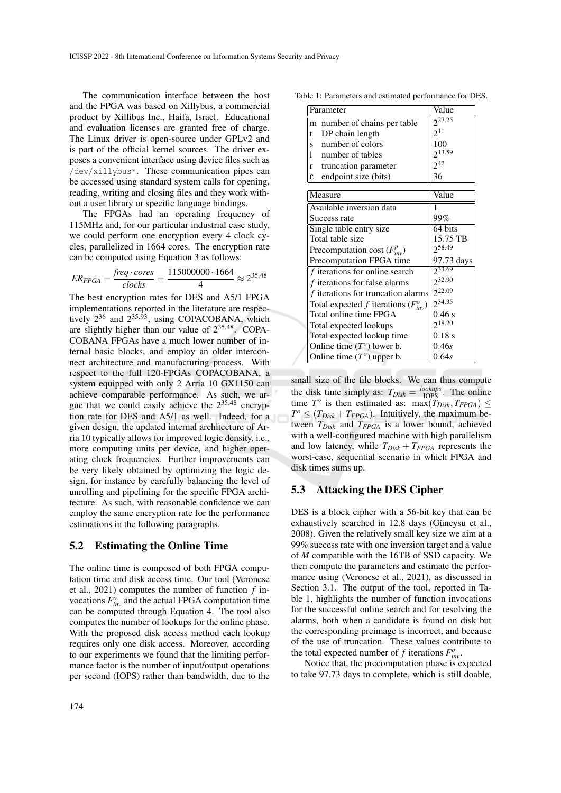The communication interface between the host and the FPGA was based on Xillybus, a commercial product by Xillibus Inc., Haifa, Israel. Educational and evaluation licenses are granted free of charge. The Linux driver is open-source under GPLv2 and is part of the official kernel sources. The driver exposes a convenient interface using device files such as /dev/xillybus\*. These communication pipes can be accessed using standard system calls for opening, reading, writing and closing files and they work without a user library or specific language bindings.

The FPGAs had an operating frequency of 115MHz and, for our particular industrial case study, we could perform one encryption every 4 clock cycles, parallelized in 1664 cores. The encryption rate can be computed using Equation 3 as follows:

$$
ER_{FPGA} = \frac{freq \cdot cores}{clocks} = \frac{115000000 \cdot 1664}{4} \approx 2^{35.48}
$$

The best encryption rates for DES and A5/1 FPGA implementations reported in the literature are respectively  $2^{36}$  and  $2^{35.93}$ , using COPACOBANA, which are slightly higher than our value of  $2^{35.48}$ . COPA-COBANA FPGAs have a much lower number of internal basic blocks, and employ an older interconnect architecture and manufacturing process. With respect to the full 120-FPGAs COPACOBANA, a system equipped with only 2 Arria 10 GX1150 can achieve comparable performance. As such, we argue that we could easily achieve the  $2^{35.48}$  encryption rate for DES and A5/1 as well. Indeed, for a given design, the updated internal architecture of Arria 10 typically allows for improved logic density, i.e., more computing units per device, and higher operating clock frequencies. Further improvements can be very likely obtained by optimizing the logic design, for instance by carefully balancing the level of unrolling and pipelining for the specific FPGA architecture. As such, with reasonable confidence we can employ the same encryption rate for the performance estimations in the following paragraphs.

#### 5.2 Estimating the Online Time

The online time is composed of both FPGA computation time and disk access time. Our tool (Veronese et al., 2021) computes the number of function *f* invocations  $F_{inv}^o$  and the actual FPGA computation time can be computed through Equation 4. The tool also computes the number of lookups for the online phase. With the proposed disk access method each lookup requires only one disk access. Moreover, according to our experiments we found that the limiting performance factor is the number of input/output operations per second (IOPS) rather than bandwidth, due to the

| m number of chains per table              | $2^{27.25}$ |
|-------------------------------------------|-------------|
| DP chain length<br>t                      | $2^{11}$    |
| number of colors<br>S.                    | 100         |
| number of tables<br>1                     | $2^{13.59}$ |
| r truncation parameter                    | $2^{42}$    |
| endpoint size (bits)<br>ε                 | 36          |
| Measure                                   | Value       |
|                                           |             |
| Available inversion data                  |             |
| Success rate                              | 99%         |
| Single table entry size                   | 64 bits     |
| Total table size                          | 15.75 TB    |
| Precomputation cost $(F_{inv}^p)$         | 258.49      |
| Precomputation FPGA time                  | 97.73 days  |
| $f$ iterations for online search          | 233.69      |
| f iterations for false alarms             | $2^{32.90}$ |
| f iterations for truncation alarms        | $2^{22.09}$ |
| Total expected f iterations $(F_{inv}^o)$ | $2^{34.35}$ |
| Total online time FPGA                    | 0.46 s      |
| Total expected lookups                    | $2^{18.20}$ |
| Total expected lookup time                | 0.18 s      |
| Online time $(To)$ lower b.               | 0.46s       |

Table 1: Parameters and estimated performance for DES.

Parameter Value

small size of the file blocks. We can thus compute the disk time simply as:  $T_{Disk} = \frac{lookups}{10PS}$ . The online time  $T^o$  is then estimated as:  $\max(T_{Disk}, T_{FPGA}) \leq$  $T^o \leq (T_{Disk} + T_{FPGA})$ . Intuitively, the maximum between *TDisk* and *TFPGA* is a lower bound, achieved with a well-configured machine with high parallelism and low latency, while  $T_{Disk} + T_{FPGA}$  represents the worst-case, sequential scenario in which FPGA and disk times sums up.

Online time  $(T^o)$  upper b.  $\Big|0.64s\Big|$ 

#### 5.3 Attacking the DES Cipher

DES is a block cipher with a 56-bit key that can be exhaustively searched in 12.8 days (Güneysu et al., 2008). Given the relatively small key size we aim at a 99% success rate with one inversion target and a value of *M* compatible with the 16TB of SSD capacity. We then compute the parameters and estimate the performance using (Veronese et al., 2021), as discussed in Section 3.1. The output of the tool, reported in Table 1, highlights the number of function invocations for the successful online search and for resolving the alarms, both when a candidate is found on disk but the corresponding preimage is incorrect, and because of the use of truncation. These values contribute to the total expected number of *f* iterations  $F_{inv}^o$ .

Notice that, the precomputation phase is expected to take 97.73 days to complete, which is still doable,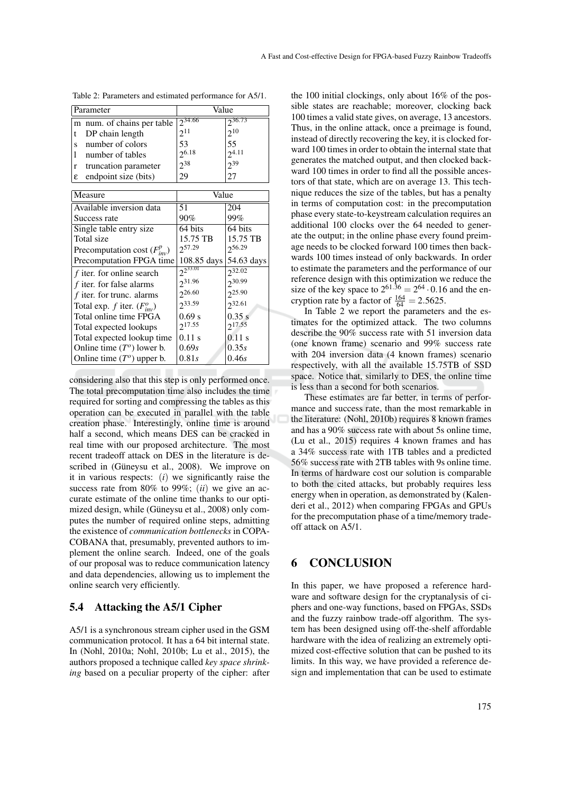| Parameter                          | Value           |                    |  |  |
|------------------------------------|-----------------|--------------------|--|--|
| m num. of chains per table         | $2^{34.66}$     | $2^{36.73}$        |  |  |
| DP chain length<br>t               | $2^{11}$        | $2^{10}$           |  |  |
| number of colors<br>S              | 53              | 55                 |  |  |
| number of tables<br>1              | $2^{6.18}$      | $2^{4.11}$         |  |  |
| truncation parameter<br>r          | $2^{38}$        | $2^{39}$           |  |  |
| endpoint size (bits)<br>ε          | 29              | 27                 |  |  |
|                                    |                 |                    |  |  |
| Measure                            | Value           |                    |  |  |
| Available inversion data           | 51              | 204                |  |  |
| Success rate                       | $90\%$          | 99%                |  |  |
| Single table entry size            | 64 bits         | 64 bits            |  |  |
| Total size                         | 15.75 TB        | 15.75 TB           |  |  |
| Precomputation cost $(F_{inv}^p)$  | $2^{57.29}$     | 256.29             |  |  |
| Precomputation FPGA time           | 108.85 days     | 54.63 days         |  |  |
| f iter. for online search          | $2^{2^{33.01}}$ | $2^{32.02}$        |  |  |
| $f$ iter. for false alarms         | 231.96          | 230.99             |  |  |
| f iter. for trunc. alarms          | 226.60          | 225.90             |  |  |
| Total exp. f iter. $(F_{inv}^o)$   | 233.59          | 232.61             |  |  |
| Total online time FPGA             | 0.69 s          | 0.35 s             |  |  |
| Total expected lookups             | $2^{17.55}$     | 2 <sup>17.55</sup> |  |  |
| Total expected lookup time         | $0.11$ s        | $0.11$ s           |  |  |
| Online time $(To)$ lower b.        | 0.69s           | 0.35s              |  |  |
| Online time $(T^{\circ})$ upper b. | 0.81s           | 0.46s              |  |  |

| Table 2: Parameters and estimated performance for A5/1. |  |  |  |
|---------------------------------------------------------|--|--|--|
|---------------------------------------------------------|--|--|--|

considering also that this step is only performed once. The total precomputation time also includes the time required for sorting and compressing the tables as this operation can be executed in parallel with the table creation phase. Interestingly, online time is around half a second, which means DES can be cracked in real time with our proposed architecture. The most recent tradeoff attack on DES in the literature is described in (Güneysu et al., 2008). We improve on it in various respects: (*i*) we significantly raise the success rate from 80% to 99%; (*ii*) we give an accurate estimate of the online time thanks to our optimized design, while (Güneysu et al., 2008) only computes the number of required online steps, admitting the existence of *communication bottlenecks* in COPA-COBANA that, presumably, prevented authors to implement the online search. Indeed, one of the goals of our proposal was to reduce communication latency and data dependencies, allowing us to implement the online search very efficiently.

#### 5.4 Attacking the A5/1 Cipher

A5/1 is a synchronous stream cipher used in the GSM communication protocol. It has a 64 bit internal state. In (Nohl, 2010a; Nohl, 2010b; Lu et al., 2015), the authors proposed a technique called *key space shrinking* based on a peculiar property of the cipher: after

the 100 initial clockings, only about 16% of the possible states are reachable; moreover, clocking back 100 times a valid state gives, on average, 13 ancestors. Thus, in the online attack, once a preimage is found, instead of directly recovering the key, it is clocked forward 100 times in order to obtain the internal state that generates the matched output, and then clocked backward 100 times in order to find all the possible ancestors of that state, which are on average 13. This technique reduces the size of the tables, but has a penalty in terms of computation cost: in the precomputation phase every state-to-keystream calculation requires an additional 100 clocks over the 64 needed to generate the output; in the online phase every found preimage needs to be clocked forward 100 times then backwards 100 times instead of only backwards. In order to estimate the parameters and the performance of our reference design with this optimization we reduce the size of the key space to  $2^{61.36} = 2^{64} \cdot 0.16$  and the encryption rate by a factor of  $\frac{164}{64} = 2.5625$ .

In Table 2 we report the parameters and the estimates for the optimized attack. The two columns describe the 90% success rate with 51 inversion data (one known frame) scenario and 99% success rate with 204 inversion data (4 known frames) scenario respectively, with all the available 15.75TB of SSD space. Notice that, similarly to DES, the online time is less than a second for both scenarios.

These estimates are far better, in terms of performance and success rate, than the most remarkable in the literature: (Nohl, 2010b) requires 8 known frames and has a 90% success rate with about 5s online time, (Lu et al., 2015) requires 4 known frames and has a 34% success rate with 1TB tables and a predicted 56% success rate with 2TB tables with 9s online time. In terms of hardware cost our solution is comparable to both the cited attacks, but probably requires less energy when in operation, as demonstrated by (Kalenderi et al., 2012) when comparing FPGAs and GPUs for the precomputation phase of a time/memory tradeoff attack on A5/1.

### 6 CONCLUSION

In this paper, we have proposed a reference hardware and software design for the cryptanalysis of ciphers and one-way functions, based on FPGAs, SSDs and the fuzzy rainbow trade-off algorithm. The system has been designed using off-the-shelf affordable hardware with the idea of realizing an extremely optimized cost-effective solution that can be pushed to its limits. In this way, we have provided a reference design and implementation that can be used to estimate